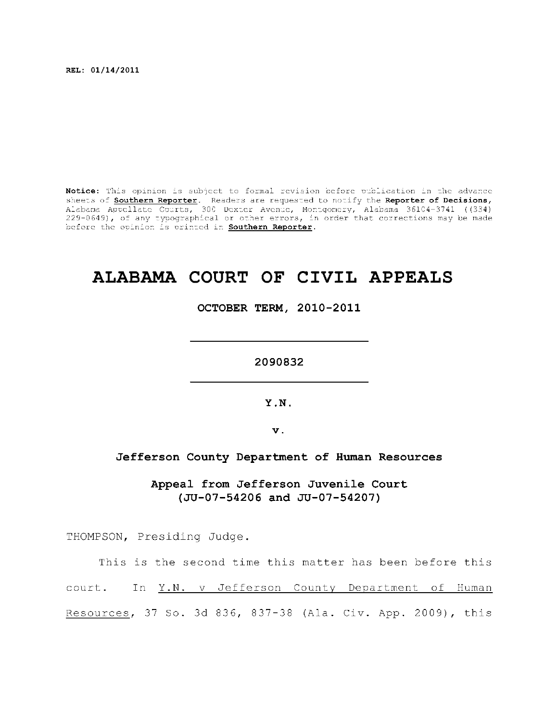**REL: 01/14/2011** 

Notice: This opinion is subject to formal revision before publication in the advance sheets of **Southern Reporter**. Readers are requested to notify the Reporter of Decisions, Alabama Appellat e Courts , 300 Dexte r Avenue, Montgomery, Alabama 36104-3741 ((334) 229-0649), of any typographical or other errors, in order that corrections may be made before the opinion is printed in **Southern Reporter**.

## **ALABAMA COURT OF CIVIL APPEALS**

**OCTOBER TERM, 2010-2011** 

**2090832** 

**Y.N.** 

**v.** 

## **Jefferso n County Department of Human Resources**

**Appeal from Jefferso n Juvenile Court (JU-07-54206 and JU-07-54207)** 

THOMPSON, Presiding Judge.

This is the second time this matter has been before this court. In Y.N. v Jefferson County Department of Human Resources, 37 So. 3d 836, 837-38 (Ala. Civ. App. 2009), this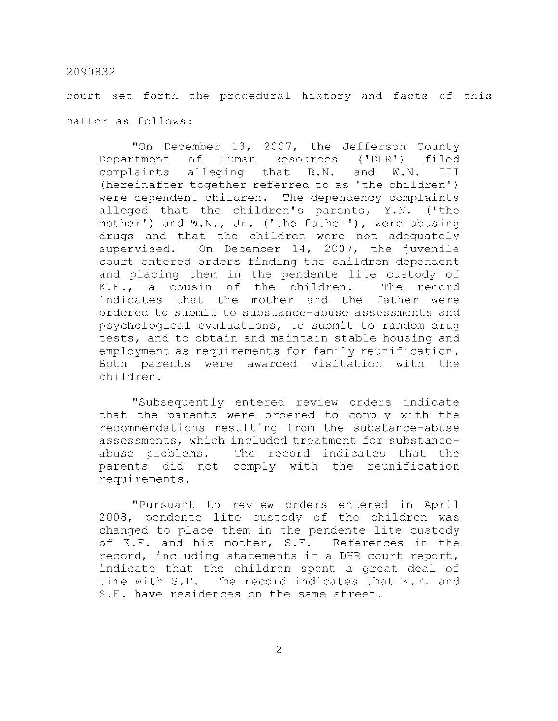court set forth the procedural history and facts of this matter as follows:

"On December 13, 2007, the Jefferson County Department of Human Resources ('DHR') filed complaints alleging that B.N. and W.N. III (hereinafter together referred to as 'the children') were dependent children. The dependency complaints alleged that the children's parents, Y.N. ('the mother') and  $W, N, Jr$ . ('the father'), were abusing drugs and that the children were not adequately supervised. On December 14, 2007, the juvenile court entered orders finding the children dependent and placing them in the pendente lite custody of  $K.F.,$  a cousin of the children. The record indicates that the mother and the father were ordered to submit to substance-abuse assessments and psychological evaluations, to submit to random drug tests, and to obtain and maintain stable housing and employment as requirements for family reunification. Both parents were awarded visitation with the children .

"Subsequently entered review orders indicate that the parents were ordered to comply with the recommendations resulting from the substance-abuse assessments, which included treatment for substanceabuse problems. The record indicates that the parents did not comply with the reunification requirements .

"Pursuant to review orders entered in April 2008, pendente lite custody of the children was changed to place them in the pendente lite custody of K.F. and his mother, S.F. References in the record, including statements in a DHR court report, indicate that the children spent a great deal of time with S.F. The record indicates that K.F. and S.F. have residences on the same street.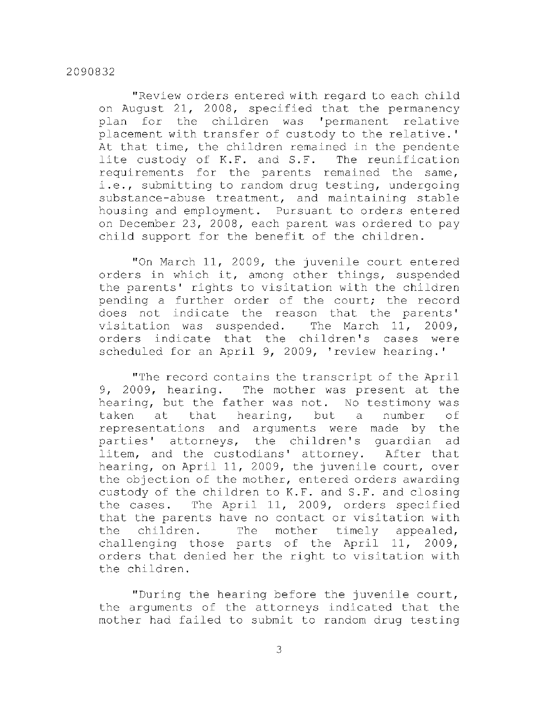"Review orders entered with regard to each child on August 21, 2008, specified that the permanency plan for the children was 'permanent relative placement with transfer of custody to the relative.' At that time, the children remained in the pendente lite custody of K.F. and S.F. The reunification requirements for the parents remained the same, i.e., submitting to random drug testing, undergoing substance-abuse treatment, and maintaining stable housing and employment. Pursuant to orders entered on December 23, 2008, each parent was ordered to pay child support for the benefit of the children.

"On March 11, 2009, the juvenile court entered orders in which it, among other things, suspended the parents' rights to visitation with the children pending a further order of the court; the record does not indicate the reason that the parents' visitation was suspended. The March  $11, 2009,$ orders indicate that the children's cases were scheduled for an April 9, 2009, 'review hearing.'

"The record contains the transcript of the April 9, 2009, hearing. The mother was present at the hearing, but the father was not. No testimony was taken at that hearing, but a number of representations and arguments were made by the parties' attorneys, the children's quardian ad litem, and the custodians' attorney. After that hearing, on April 11, 2009, the juvenile court, over the objection of the mother, entered orders awarding custody of the children to K.F. and S.F. and closing the cases. The April 11, 2009, orders specified that the parents have no contact or visitation with the children. The mother timely appealed, challenging those parts of the April 11, 2009, orders that denied her the right to visitation with the children.

"During the hearing before the juvenile court, the arguments of the attorneys indicated that the mother had failed to submit to random drug testing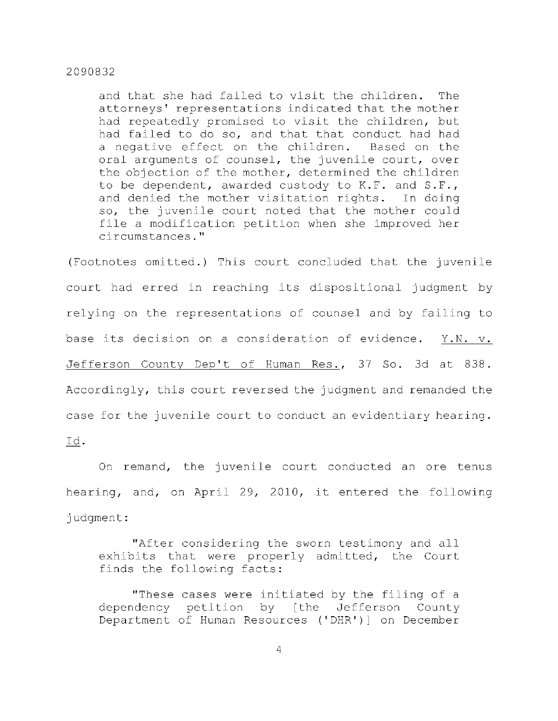and that she had failed to visit the children. The attorneys' representations indicated that the mother had repeatedly promised to visit the children, but had failed to do so, and that that conduct had had a negative effect on the children. Based on the oral arguments of counsel, the juvenile court, over the objection of the mother, determined the children to be dependent, awarded custody to  $K.F.$  and  $S.F.,$ and denied the mother visitation rights. In doing so, the juvenile court noted that the mother could file a modification petition when she improved her circumstances. "

(Footnotes omitted.) This court concluded that the juvenile court had erred in reaching its dispositional judgment by relying on the representations of counsel and by failing to base its decision on a consideration of evidence. Y.N. v. Jefferson County Dep't of Human Res., 37 So. 3d at 838. Accordingly, this court reversed the judgment and remanded the case for the juvenile court to conduct an evidentiary hearing. I d .

On remand, the juvenile court conducted an ore tenus hearing, and, on April 29, 2010, it entered the following judgment :

"After considering the sworn testimony and all exhibits that were properly admitted, the Court finds the following facts:

"These cases were initiated by the filing of a dependency petition by [the Jefferson County Department of Human Resources ('DHR')] on December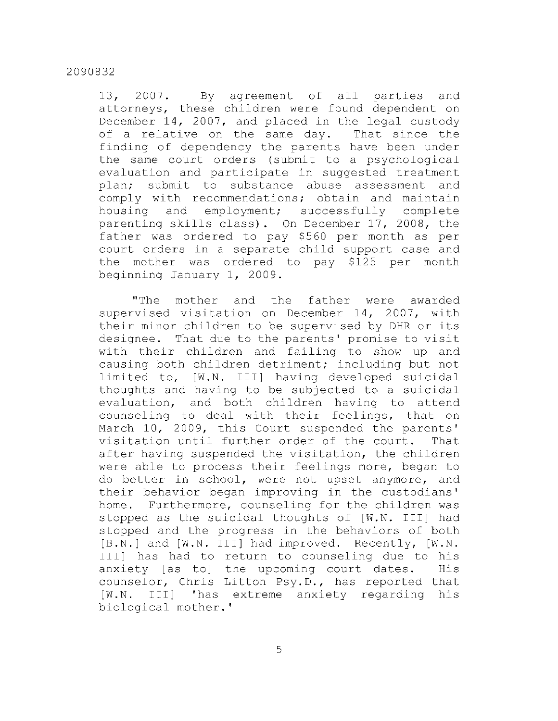13, 2007. By agreement of all parties and attorneys, these children were found dependent on December 14, 2007, and placed in the legal custody of a relative on the same day. That since the finding of dependency the parents have been under the same court orders (submit to a psychological evaluation and participate in suggested treatment plan; submit to substance abuse assessment and comply with recommendations; obtain and maintain housing and employment; successfully complete parenting skills class). On December 17, 2008, the father was ordered to pay \$560 per month as per court orders in a separate child support case and the mother was ordered to pay \$125 per month beginning January 1, 2009.

"The mother and the father were awarded supervised visitation on December 14, 2007, with their minor children to be supervised by DHR or its designee. That due to the parents' promise to visit with their children and failing to show up and causing both children detriment; including but not limited to, [W.N. III] having developed suicidal thoughts and having to be subjected to a suicidal evaluation, and both children having to attend counseling to deal with their feelings, that on March 10, 2009, this Court suspended the parents' visitation until further order of the court. That after having suspended the visitation, the children were able to process their feelings more, began to do better in school, were not upset anymore, and their behavior began improving in the custodians' home. Furthermore, counseling for the children was stopped as the suicidal thoughts of [W.N. III] had stopped and the progress in the behaviors of both [B.N.] and [W.N. III] had improved. Recently, [W.N. III] has had to return to counseling due to his anxiety [as to] the upcoming court dates. His counselor, Chris Litton Psy.D., has reported that [W.N. III] 'has extreme anxiety regarding his biological mother.'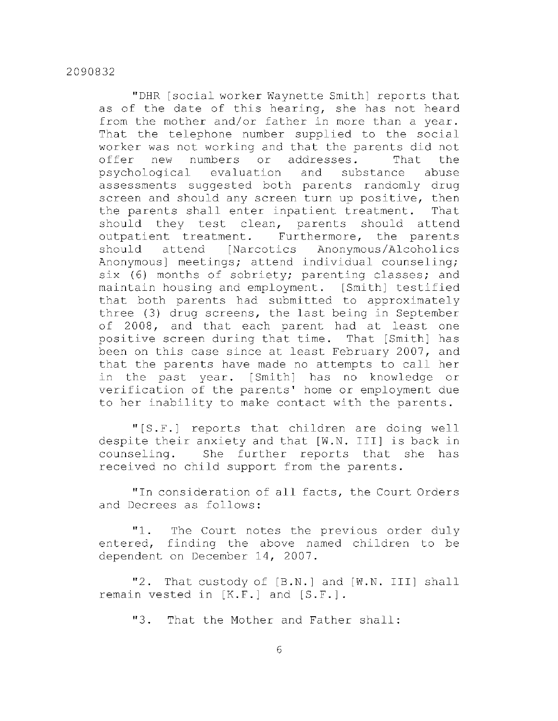"DHR [social worker Waynette Smith] reports that as of the date of this hearing, she has not heard from the mother and/or father in more than a year. That the telephone number supplied to the social worker was not working and that the parents did not offer new numbers or addresses. That the psychological evaluation and substance abuse assessments suggested both parents randomly drug screen and should any screen turn up positive, then the parents shall enter inpatient treatment. That should they test clean, parents should attend outpatient treatment. Furthermore, the parents should attend [Narcotics Anonymous/Alcoholics Anonymous] meetings; attend individual counseling; six (6) months of sobriety; parenting classes; and maintain housing and employment. [Smith] testified that both parents had submitted to approximately three (3) drug screens, the last being in September of 2008, and that each parent had at least one positive screen during that time. That [Smith] has been on this case since at least February 2007, and that the parents have made no attempts to call her in the past year. [Smith] has no knowledge or verification of the parents' home or employment due to her inability to make contact with the parents.

"[S.F.] reports that children are doing well despite their anxiety and that [W.N. III] is back in counseling. She further reports that she has received no child support from the parents.

" In consideration of all facts, the Court Orders and Decrees as follows:

"1. The Court notes the previous order duly entered, finding the above named children to be dependent on December 14, 2007.

"2. That custody of [B.N.] and [W.N. III] shall remain vested in  $[K.F.]$  and  $[S.F.]$ .

"3. That the Mother and Father shall: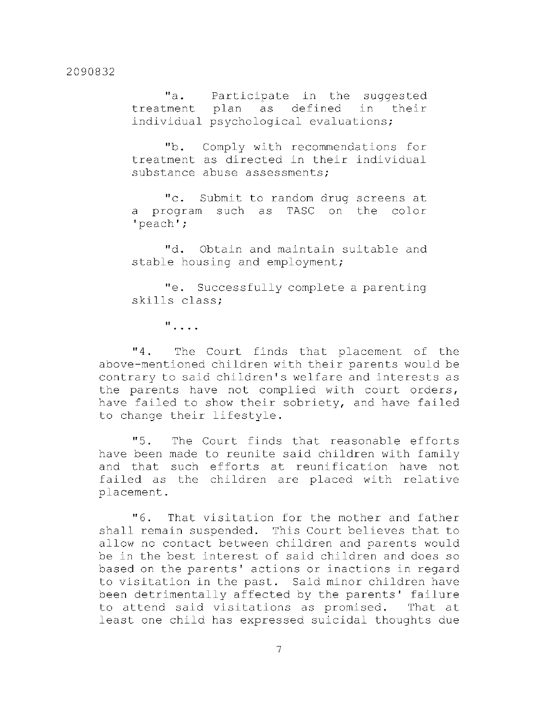"a. Participate in the suggested treatment plan as defined in their individual psychological evaluations;

"b. Comply with recommendations for treatment as directed in their individual substance abuse assessments;

" c. Submit to random drug screens at a program such as TASC on the color 'peach' ;

"d. Obtain and maintain suitable and stable housing and employment;

"e. Successfully complete a parenting skills class;

 $\mathbf{u}_{\text{max}}$ 

"4. The Court finds that placement of the above-mentioned children with their parents would be contrary to said children's welfare and interests as the parents have not complied with court orders, have failed to show their sobriety, and have failed to change their lifestyle.

"5. The Court finds that reasonable efforts have been made to reunite said children with family and that such efforts at reunification have not failed as the children are placed with relative placement .

"6. That visitation for the mother and father shall remain suspended. This Court believes that to allow no contact between children and parents would be in the best interest of said children and does so based on the parents' actions or inactions in regard to visitation in the past. Said minor children have been detrimentally affected by the parents' failure to attend said visitations as promised. That at least one child has expressed suicidal thoughts due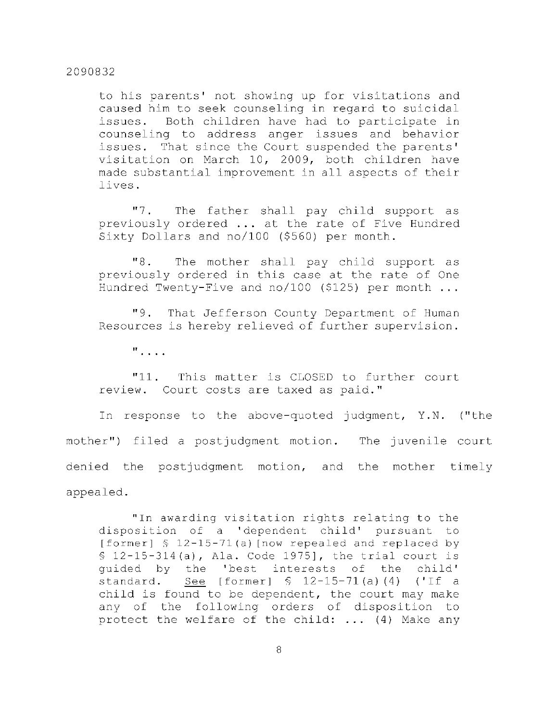to his parents' not showing up for visitations and caused him to seek counseling in regard to suicidal issues. Both children have had to participate in counseling to address anger issues and behavior issues. That since the Court suspended the parents' visitation on March 10, 2009, both children have made substantial improvement in all aspects of their lives .

"7. The father shall pay child support as previously ordered ... at the rate of Five Hundred Sixty Dollars and  $no/100$  (\$560) per month.

"8. The mother shall pay child support as previously ordered in this case at the rate of One Hundred Twenty-Five and no/100 (\$125) per month  $\ldots$ 

"9. That Jefferson County Department of Human Resources is hereby relieved of further supervision.

**II** 

"11. This matter is CLOSED to further court review. Court costs are taxed as paid."

In response to the above-quoted judgment, Y.N. ("the mother") filed a postjudgment motion. The juvenile court denied the postjudgment motion, and the mother timely appealed .

" In awarding visitation rights relating to the disposition of a 'dependent child' pursuant to [former]  $$ 12-15-71(a)$  [now repealed and replaced by  $$ 12-15-314(a)$ , Ala. Code 1975], the trial court is quided by the 'best interests of the child' standard. See [former]  $$ 12-15-71(a) (4)$  ('If a child is found to be dependent, the court may make any of the following orders of disposition to protect the welfare of the child:  $\ldots$  (4) Make any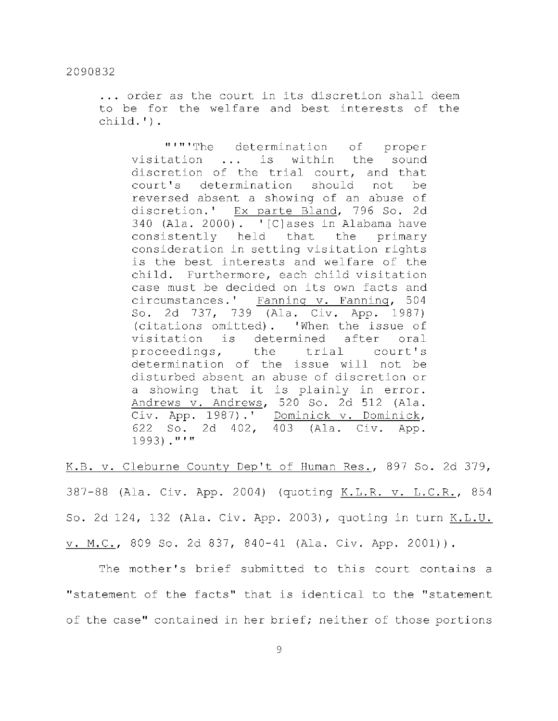... order as the court in its discretion shall deem to be for the welfare and best interests of the child.') .

"'"'The determination of proper visitation ... is within the sound discretion of the trial court, and that court's determination should not be reversed absent a showing of an abuse of discretion.' Ex parte Bland, 796 So. 2d 340 (Ala. 2000).  $\lceil C \rceil$  ases in Alabama have consistently held that the primary consideration in setting visitation rights is the best interests and welfare of the child. Furthermore, each child visitation case must be decided on its own facts and circumstances.' Fanning v. Fanning, 504 So. 2d 737, 739 (Ala. Civ. App. 1987) (citations omitted). 'When the issue of visitation is determined after oral proceedings, the trial court's determination of the issue will not be disturbed absent an abuse of discretion or a showing that it is plainly in error. Andrews v. Andrews, 520 So. 2d 512 (Ala.  $\overline{\text{Civ. } \text{App. } 1987)$ .' Dominick v. Dominick, 622 So. 2d 402, 403 (Ala. Civ. App. 1993)."'"

K.B. v. Cleburne County Dep't of Human Res., 897 So. 2d 379, 387-88 (Ala. Civ. App. 2004) (quoting K.L.R. v. L.C.R., 854 S o. 2 d 124, 132 (Ala . Civ . App. 2003) , quotin g i n tur n K.L.U.  $\overline{\mathbf{H}}$  . Ala . App. 2001 so. 2d 837, 840-41 (Ala . Civ .  $\mathbf{H}$ 

of the case  $\mathcal{L}_{\mathcal{A}}$  is the contained in her brief  $\mathcal{L}_{\mathcal{A}}$  . The results of thos e portion such states  $\mathcal{L}_{\mathcal{A}}$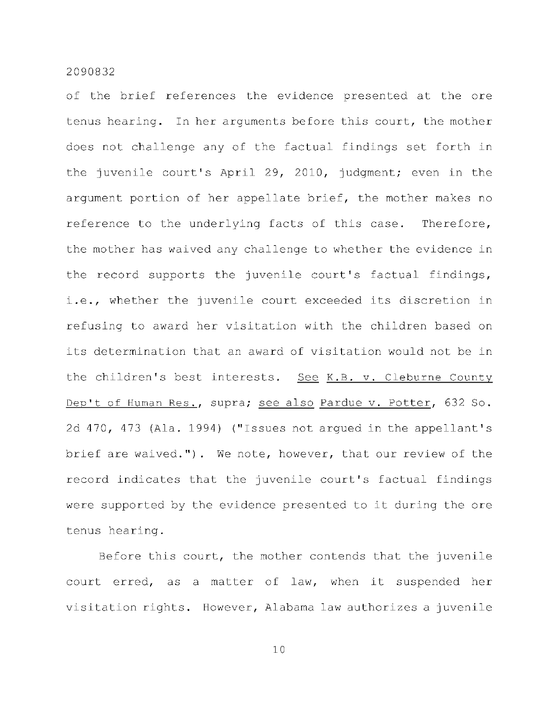of the brief references the evidence presented at the ore tenus hearing. In her arguments before this court, the mother does not challenge any of the factual findings set forth in the juvenile court's April 29, 2010, judgment; even in the argument portion of her appellate brief, the mother makes no reference to the underlying facts of this case. Therefore, the mother has waived any challenge to whether the evidence in the record supports the juvenile court's factual findings, i.e., whether the juvenile court exceeded its discretion in refusing to award her visitation with the children based on its determination that an award of visitation would not be in the children's best interests. See K.B. v. Cleburne County Dep't of Human Res., supra; see also Pardue v. Potter, 632 So. 2d 470, 473 (Ala. 1994) ("Issues not argued in the appellant's brief are waived."). We note, however, that our review of the record indicates that the juvenile court's factual findings were supported by the evidence presented to it during the ore tenus hearing.

Before this court, the mother contends that the juvenile court erred, as a matter of law, when it suspended her visitation rights. However, Alabama law authorizes a juvenile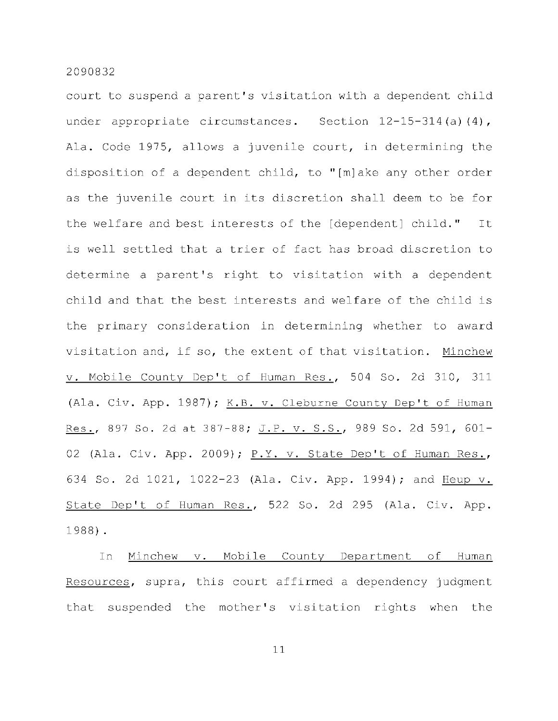court to suspend a parent's visitation with a dependent child under appropriate circumstances. Section  $12-15-314$  (a)(4), Ala. Code 1975, allows a juvenile court, in determining the disposition of a dependent child, to "[m]ake any other order as the juvenile court in its discretion shall deem to be for the welfare and best interests of the [dependent] child." It is well settled that a trier of fact has broad discretion to determine a parent's right to visitation with a dependent child and that the best interests and welfare of the child is the primary consideration in determining whether to award visitation and, if so, the extent of that visitation. Minchew v. Mobile County Dep't of Human Res., 504 So. 2d 310, 311 (Ala. Civ. App. 1987); K.B. v. Cleburne County Dep't of Human Res., 897 So. 2d at 387-88; J.P. v. S.S., 989 So. 2d 591, 601-02 (Ala. Civ. App. 2009); P.Y. v. State Dep't of Human Res., 634 So. 2d 1021, 1022-23 (Ala. Civ. App. 1994); and Heup v. State Dep't of Human Res., 522 So. 2d 295 (Ala. Civ. App. 1988) .

In Minchew v. Mobile County Department of Human Resources, supra, this court affirmed a dependency judgment that suspended the mother's visitation rights when the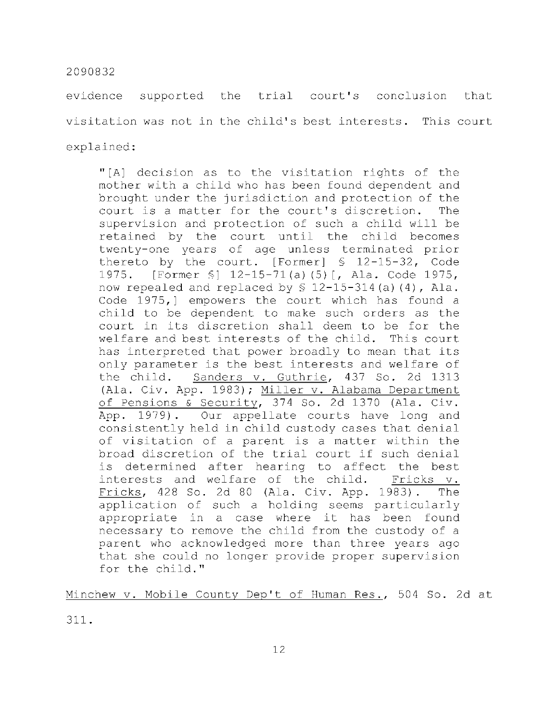evidence supported the trial court's conclusion that visitation was not in the child's best interests. This court explained:

"[A] decision as to the visitation rights of the mother with a child who has been found dependent and brought under the jurisdiction and protection of the court is a matter for the court's discretion. The supervision and protection of such a child will be retained by the court until the child becomes twenty-one years of age unless terminated prior thereto by the court. [Former]  $\frac{1}{2}$  12-15-32, Code 1975. [Former §] 12-15-71(a)(5)[, Ala. Code 1975, now repealed and replaced by  $$ 12-15-314$  (a)(4), Ala. Code  $1975,$  empowers the court which has found a child to be dependent to make such orders as the court in its discretion shall deem to be for the welfare and best interests of the child. This court has interpreted that power broadly to mean that its only parameter is the best interests and welfare of the child. Sanders v. Guthrie, 437 So. 2d 1313 (Ala. Civ. App. 1983); Miller v. Alabama Department of Pensions & Security, 374 So. 2d 1370 (Ala. Civ. App. 1979). Our appellate courts have long and consistently held in child custody cases that denial of visitation of a parent is a matter within the broad discretion of the trial court if such denial is determined after hearing to affect the best interests and welfare of the child. Fricks v. Fricks, 428 So. 2d 80 (Ala. Civ. App. 1983). The application of such a holding seems particularly appropriate in a case where it has been found necessary to remove the child from the custody of a parent who acknowledged more than three years ago that she could no longer provide proper supervision for the child."

Minchew v. Mobile County Dep't of Human Res., 504 So. 2d at

311 .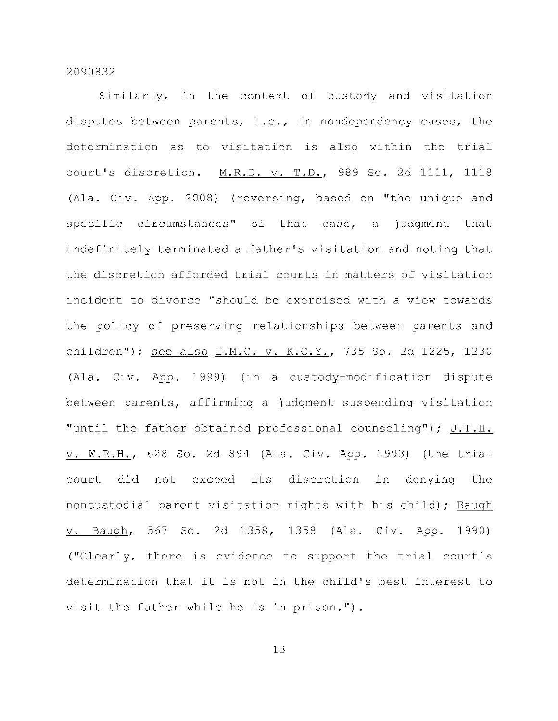Similarly, in the context of custody and visitation disputes between parents, i.e., in nondependency cases, the determination as to visitation is also within the trial court's discretion. M.R.D. v. T.D., 989 So. 2d 1111, 1118 (Ala. Civ. App. 2008) (reversing, based on "the unique and specific circumstances" of that case, a judgment that indefinitely terminated a father's visitation and noting that the discretion afforded trial courts in matters of visitation incident to divorce "should be exercised with a view towards the policy of preserving relationships between parents and children"); see also E.M.C. v. K.C.Y., 735 So. 2d 1225, 1230 (Ala. Civ. App. 1999) (in a custody-modification dispute between parents, affirming a judgment suspending visitation "until the father obtained professional counseling"); J.T.H. v. W.R.H., 628 So. 2d 894 (Ala. Civ. App. 1993) (the trial court did not exceed its discretion in denying the noncustodial parent visitation rights with his child); Baugh v. Baugh, 567 So. 2d 1358, 1358 (Ala. Civ. App. 1990) ("Clearly, there is evidence to support the trial court's determination that it is not in the child's best interest to visit the father while he is in prison.").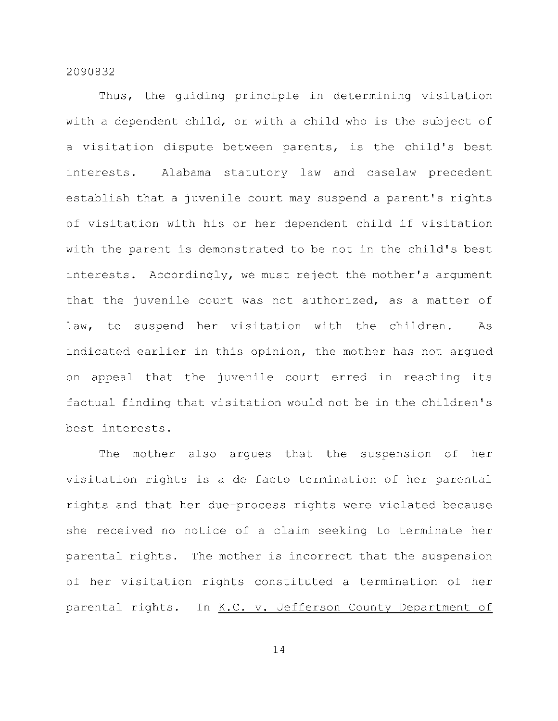Thus, the quiding principle in determining visitation with a dependent child, or with a child who is the subject of a visitation dispute between parents, is the child's best interests. Alabama statutory law and caselaw precedent establish that a juvenile court may suspend a parent's rights of visitation with his or her dependent child if visitation with the parent is demonstrated to be not in the child's best interests. Accordingly, we must reject the mother's argument that the juvenile court was not authorized, as a matter of law, to suspend her visitation with the children. As indicated earlier in this opinion, the mother has not argued on appeal that the juvenile court erred in reaching its factual finding that visitation would not be in the children's best interests.

The mother also arques that the suspension of her visitation rights is a de facto termination of her parental rights and that her due-process rights were violated because she received no notice of a claim seeking to terminate her parental rights. The mother is incorrect that the suspension of her visitation rights constituted a termination of her parental rights. In K.C. v. Jefferson County Department of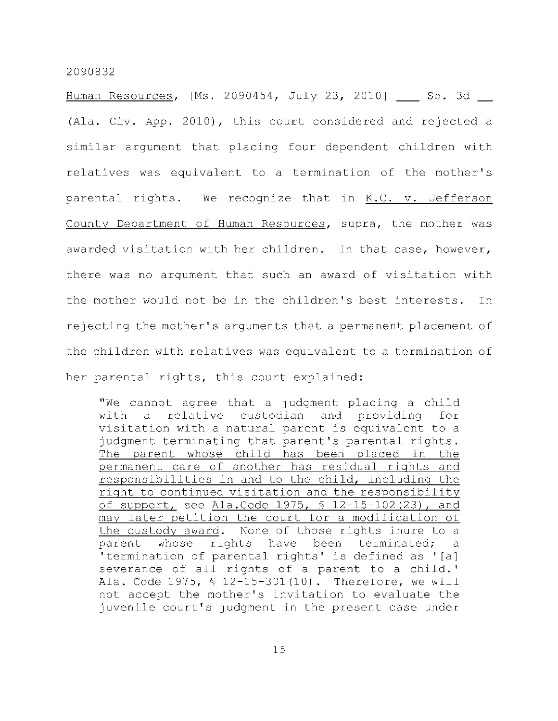Human Resources, [Ms. 2090454, July 23, 2010] So. 3d (Ala. Civ. App. 2010), this court considered and rejected a similar argument that placing four dependent children with relatives was equivalent to a termination of the mother's parental rights. We recognize that in  $K.C.$  v. Jefferson County Department of Human Resources, supra, the mother was awarded visitation with her children. In that case, however, there was no argument that such an award of visitation with the mother would not be in the children's best interests. In rejecting the mother's arguments that a permanent placement of the children with relatives was equivalent to a termination of her parental rights, this court explained:

"We cannot agree that a judgment placing a child with a relative custodian and providing for visitation with a natural parent is equivalent to a judgment terminating that parent's parental rights. The parent whose child has been placed in the permanent care of another has residual rights and responsibilities in and to the child, including the right to continued visitation and the responsibility of support, see Ala.Code 1975,  $$ 12-15-102(23)$ , and may later petition the court for a modification of the custody award. None of those rights inure to a parent whose rights have been terminated; a 'termination of parental rights' is defined as '[a] severance of all rights of a parent to a child.' Ala. Code 1975,  $$ 12-15-301(10)$ . Therefore, we will not accept the mother's invitation to evaluate the juvenile court's judgment in the present case under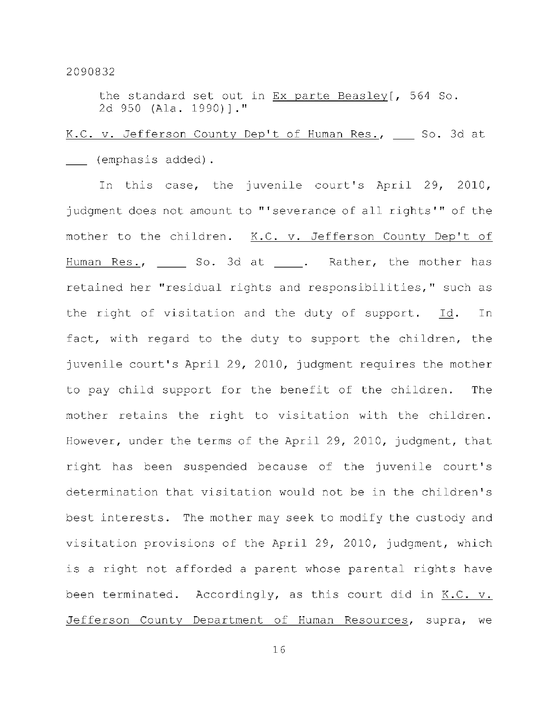the standard set out in  $Ex$  parte Beasley [, 564 So. 2d 950 (Ala. 1990)]."

# K.C. v. Jefferson County Dep't of Human Res., \_\_\_ So. 3d at (emphasis added).

In this case, the juvenile court's April 29, 2010, judgment does not amount to "'severance of all rights'" of the mother to the children. K.C. v. Jefferson County Dep't of Human Res., \_\_\_\_\_ So. 3d at \_\_\_\_. Rather, the mother has retained her "residual rights and responsibilities," such as the right of visitation and the duty of support. Id. In fact, with regard to the duty to support the children, the juvenile court's April 29, 2010, judgment requires the mother to pay child support for the benefit of the children. The mother retains the right to visitation with the children. However, under the terms of the April 29, 2010, judgment, that right has been suspended because of the juvenile court's determination that visitation would not be in the children's best interests. The mother may seek to modify the custody and visitation provisions of the April 29, 2010, judgment, which is a right not afforded a parent whose parental rights have been terminated. Accordingly, as this court did in K.C. v. Jefferson County Department of Human Resources, supra, we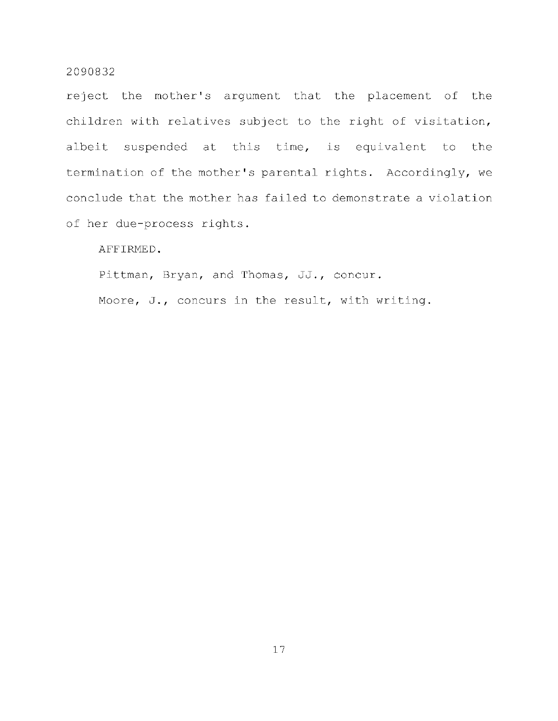reject the mother's argument that the placement of the children with relatives subject to the right of visitation, albeit suspended at this time, is equivalent to the termination of the mother's parental rights. Accordingly, we conclude that the mother has failed to demonstrate a violation of her due-process rights.

AFFIRMED.

Pittman, Bryan, and Thomas, JJ., concur.

Moore, J., concurs in the result, with writing.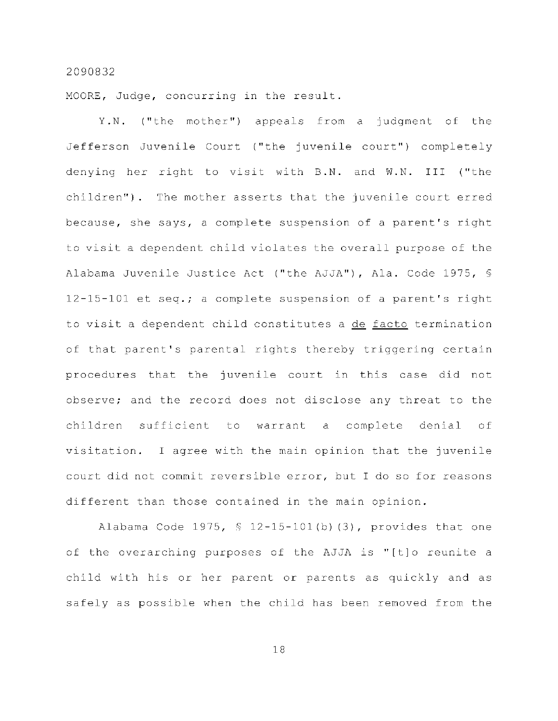MOORE, Judge, concurring in the result.

Y.N. ("the mother") appeals from a judgment of the Jefferson Juvenile Court ("the juvenile court") completely denying her right to visit with B.N. and W.N. III ("the children"). The mother asserts that the juvenile court erred because, she says, a complete suspension of a parent's right to visit a dependent child violates the overall purpose of the Alabama Juvenile Justice Act ("the AJJA"), Ala. Code 1975, §  $12-15-101$  et seq.; a complete suspension of a parent's right to visit a dependent child constitutes a de facto termination of that parent's parental rights thereby triggering certain procedures that the juvenile court in this case did not observe; and the record does not disclose any threat to the children sufficient to warrant a complete denial of visitation. I agree with the main opinion that the juvenile court did not commit reversible error, but I do so for reasons different than those contained in the main opinion.

Alabama Code 1975,  $$ 12-15-101(b) (3)$ , provides that one of the overarching purposes of the AJJA is "[t]o reunite a child with his or her parent or parents as quickly and as safely as possible when the child has been removed from the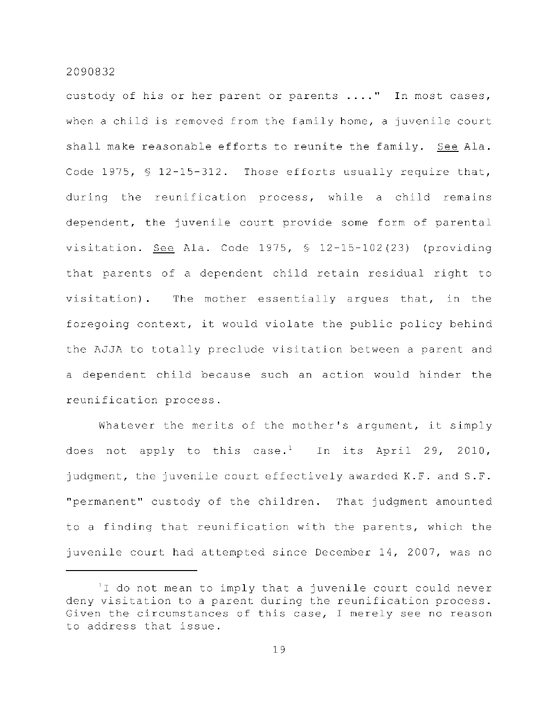custody of his or her parent or parents ...." In most cases, when a child is removed from the family home, a juvenile court shall make reasonable efforts to reunite the family. See Ala. Code 1975,  $\frac{6}{5}$  12-15-312. Those efforts usually require that, during the reunification process, while a child remains dependent, the juvenile court provide some form of parental visitation. See Ala. Code 1975,  $\frac{12 - 15 - 102}{23}$  (providing that parents of a dependent child retain residual right to visitation). The mother essentially argues that, in the foregoing context, it would violate the public policy behind the AJJA to totally preclude visitation between a parent and a dependent child because such an action would hinder the reunification process.

Whatever the merits of the mother's argument, it simply does not apply to this case.<sup>1</sup> In its April 29, 2010, judgment, the juvenile court effectively awarded K.F. and S.F. "permanent" custody of the children. That judgment amounted to a finding that reunification with the parents, which the juvenile court had attempted since December 14, 2007, was no

<sup>&#</sup>x27;I do not mean to imply that a juvenile court could never deny visitation to a parent during the reunification process. Given the circumstances of this case, I merely see no reason to address that issue.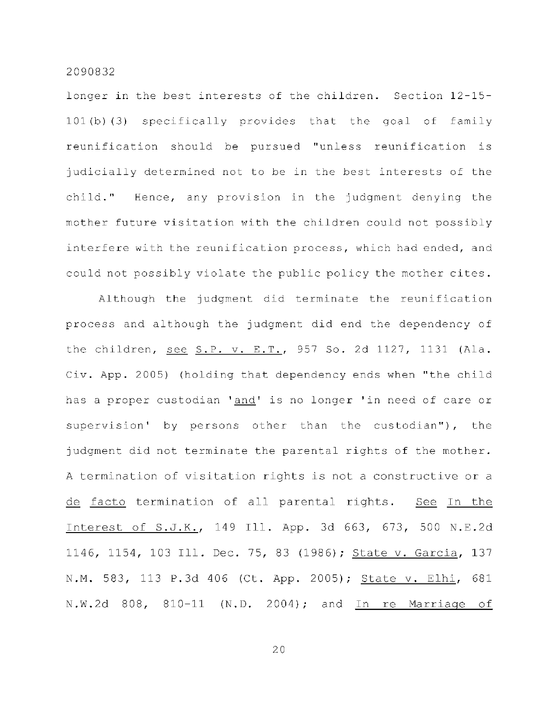longer in the best interests of the children. Section 12-15- $101(b)(3)$  specifically provides that the goal of family reunification should be pursued "unless reunification is judicially determined not to be in the best interests of the child." Hence, any provision in the judgment denying the mother future visitation with the children could not possibly interfere with the reunification process, which had ended, and could not possibly violate the public policy the mother cites.

Although the judgment did terminate the reunification process and although the judgment did end the dependency of the children, see S.P. v. E.T., 957 So. 2d 1127, 1131 (Ala. Civ. App. 2005) (holding that dependency ends when "the child has a proper custodian 'and' is no longer 'in need of care or supervision' by persons other than the custodian"), the judgment did not terminate the parental rights of the mother. A termination of visitation rights is not a constructive or a de facto termination of all parental rights. See In the Interest of S.J.K., 149 Ill. App. 3d 663, 673, 500 N.E.2d 1146, 1154, 103 Ill. Dec. 75, 83 (1986); State v. Garcia, 137 N.M. 583, 113 P.3d 406 (Ct. App. 2005); State v. Elhi, 681 N.W.2d 808, 810-11 (N.D. 2004); and In re Marriage of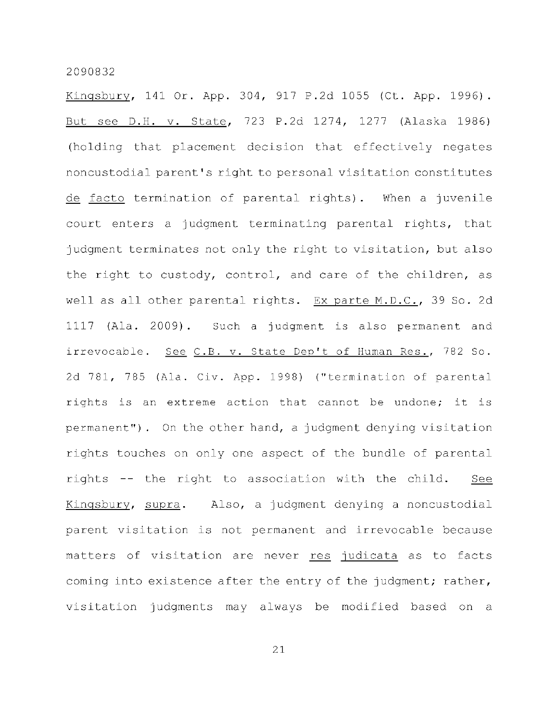Kingsbury, 141 Or. App. 304, 917 P.2d 1055 (Ct. App. 1996). But see D.H. v. State, 723 P.2d 1274, 1277 (Alaska 1986) (holding that placement decision that effectively negates noncustodial parent's right to personal visitation constitutes de facto termination of parental rights). When a juvenile court enters a judgment terminating parental rights, that judgment terminates not only the right to visitation, but also the right to custody, control, and care of the children, as well as all other parental rights. Ex parte M.D.C., 39 So. 2d 1117 (Ala. 2009). Such a judgment is also permanent and irrevocable. See C.B. v. State Dep't of Human Res., 782 So. 2d 781, 785 (Ala. Civ. App. 1998) ("termination of parental rights is an extreme action that cannot be undone; it is permanent"). On the other hand, a judgment denying visitation rights touches on only one aspect of the bundle of parental rights -- the right to association with the child. See Kingsbury, supra. Also, a judgment denying a noncustodial parent visitation is not permanent and irrevocable because matters of visitation are never res judicata as to facts coming into existence after the entry of the judgment; rather, visitation judgments may always be modified based on a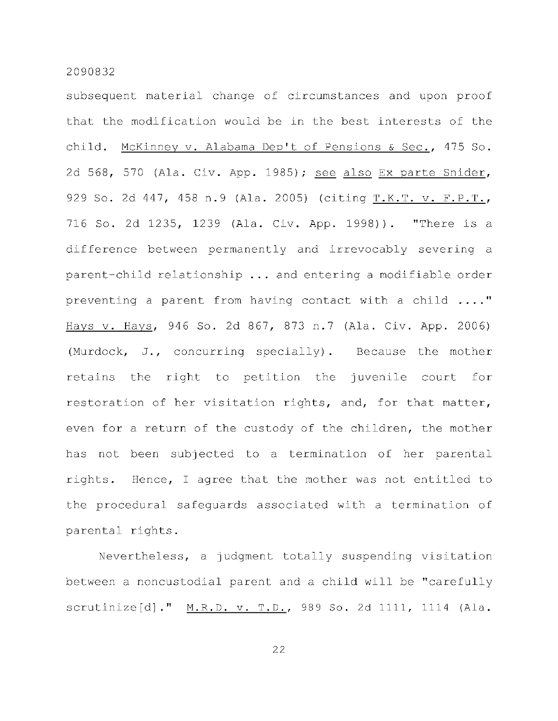subsequent material change of circumstances and upon proof that the modification would be in the best interests of the child. McKinney v. Alabama Dep't of Pensions & Sec., 475 So. 2d 568, 570 (Ala. Civ. App. 1985); see also Ex parte Snider, 929 So. 2d 447, 458 n.9 (Ala. 2005) (citing T.K.T. v. F.P.T., 716 So. 2d 1235, 1239 (Ala. Civ. App. 1998)). "There is a difference between permanently and irrevocably severing a parent-child relationship  $\ldots$  and entering a modifiable order preventing a parent from having contact with a child  $\ldots$ ." Hays v. Hays, 946 So. 2d 867, 873 n.7 (Ala. Civ. App. 2006) (Murdock, J., concurring specially). Because the mother retains the right to petition the juvenile court for restoration of her visitation rights, and, for that matter, even for a return of the custody of the children, the mother has not been subjected to a termination of her parental rights. Hence, I agree that the mother was not entitled to the procedural safeguards associated with a termination of parental rights.

Nevertheless, a judgment totally suspending visitation between a noncustodial parent and a child will be "carefully scrutinize[d]." M.R.D. v. T.D., 989 So. 2d 1111, 1114 (Ala.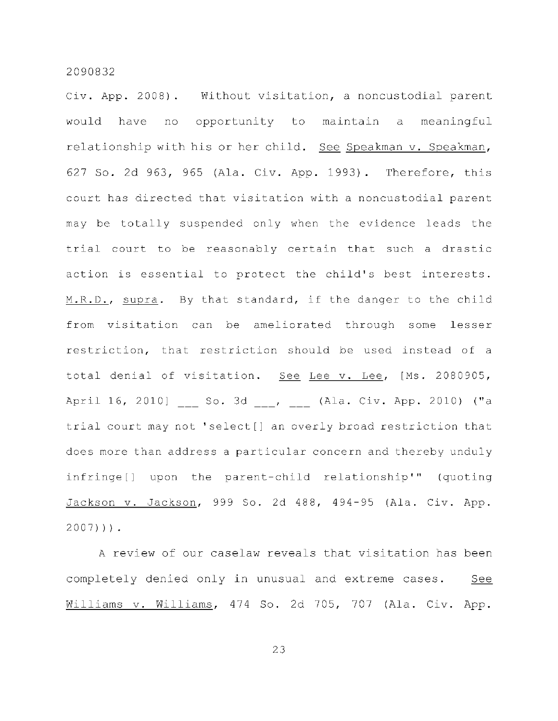Civ. App. 2008). Without visitation, a noncustodial parent would have no opportunity to maintain a meaningful relationship with his or her child. See Speakman v. Speakman, 627 So. 2d 963, 965 (Ala. Civ. App. 1993). Therefore, this court has directed that visitation with a noncustodial parent may be totally suspended only when the evidence leads the trial court to be reasonably certain that such a drastic action is essential to protect the child's best interests. M.R.D., supra. By that standard, if the danger to the child from visitation can be ameliorated through some lesser restriction, that restriction should be used instead of a total denial of visitation. See Lee v. Lee, [Ms. 2080905, April 16, 2010] \_\_ So. 3d \_\_, \_\_ (Ala. Civ. App. 2010) ("a trial court may not 'select[] an overly broad restriction that does more than address a particular concern and thereby unduly infringe[] upon the parent-child relationship'" (quoting Jackson v. Jackson, 999 So. 2d 488, 494-95 (Ala. Civ. App.  $2007)$ )).

A review of our caselaw reveals that visitation has been completely denied only in unusual and extreme cases. See Williams v. Williams, 474 So. 2d 705, 707 (Ala. Civ. App.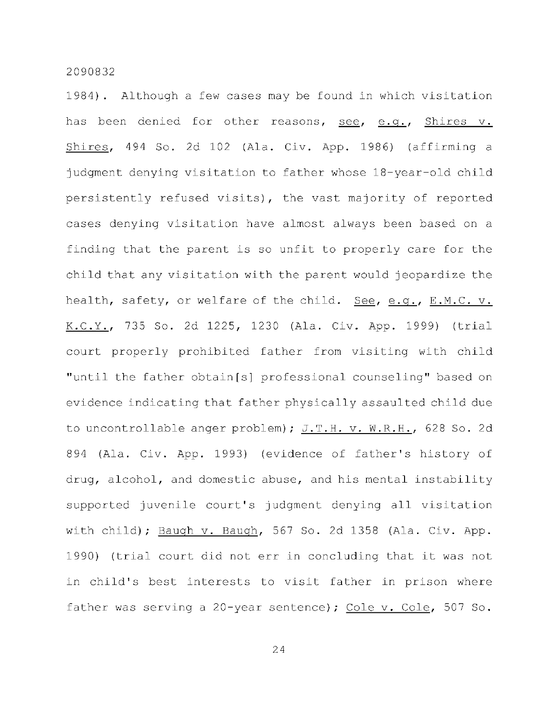1984). Although a few cases may be found in which visitation has been denied for other reasons, see, e.g., Shires v.  $Shires, 494$  So. 2d 102 (Ala. Civ. App. 1986) (affirming a judgment denying visitation to father whose 18-year-old child persistently refused visits), the vast majority of reported cases denying visitation have almost always been based on a finding that the parent is so unfit to properly care for the child that any visitation with the parent would jeopardize the health, safety, or welfare of the child. See, e.g., E.M.C. v. K.C.Y., 735 So. 2d 1225, 1230 (Ala. Civ. App. 1999) (trial court properly prohibited father from visiting with child "until the father obtain[s] professional counseling" based on evidence indicating that father physically assaulted child due to uncontrollable anger problem); J.T.H. v. W.R.H., 628 So. 2d 894 (Ala. Civ. App. 1993) (evidence of father's history of drug, alcohol, and domestic abuse, and his mental instability supported juvenile court's judgment denying all visitation with child); Baugh v. Baugh, 567 So. 2d 1358 (Ala. Civ. App. 1990) (trial court did not err in concluding that it was not in child's best interests to visit father in prison where father was serving a 20-year sentence); Cole v. Cole, 507 So.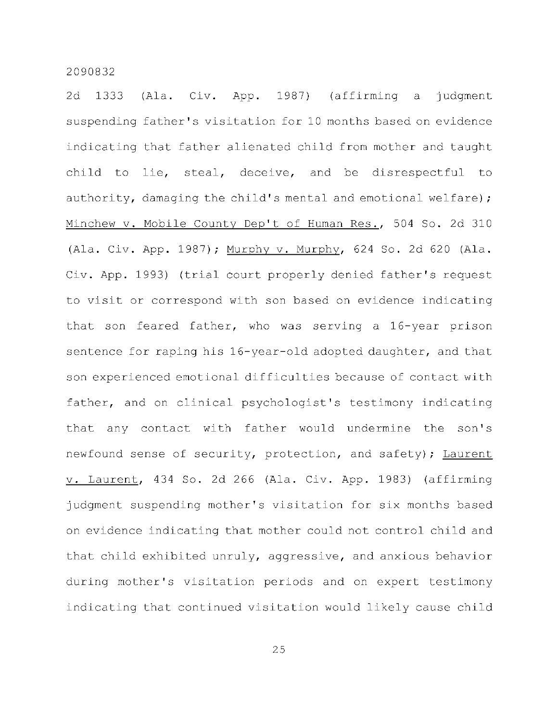2d 1333 (Ala. Civ. App. 1987) (affirming a judgment suspending father's visitation for 10 months based on evidence indicating that father alienated child from mother and taught child to lie, steal, deceive, and be disrespectful to authority, damaging the child's mental and emotional welfare); Minchew v. Mobile County Dep't of Human Res., 504 So. 2d 310 (Ala. Civ. App. 1987); Murphy v. Murphy, 624 So. 2d 620 (Ala. Civ. App. 1993) (trial court properly denied father's request to visit or correspond with son based on evidence indicating that son feared father, who was serving a 16-year prison sentence for raping his 16-year-old adopted daughter, and that son experienced emotional difficulties because of contact with father, and on clinical psychologist's testimony indicating that any contact with father would undermine the son's newfound sense of security, protection, and safety); Laurent v. Laurent, 434 So. 2d 266 (Ala. Civ. App. 1983) (affirming judgment suspending mother's visitation for six months based on evidence indicating that mother could not control child and that child exhibited unruly, aggressive, and anxious behavior during mother's visitation periods and on expert testimony indicating that continued visitation would likely cause child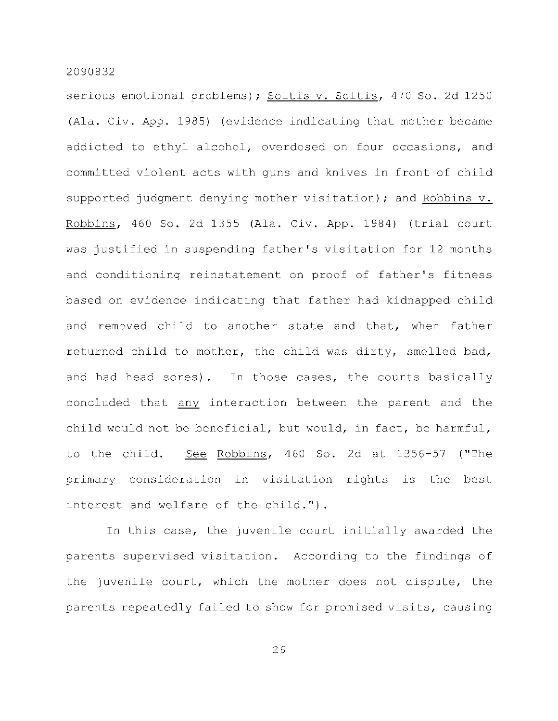serious emotional problems); Soltis v. Soltis, 470 So. 2d 1250 (Ala. Civ. App. 1985) (evidence indicating that mother became addicted to ethyl alcohol, overdosed on four occasions, and committed violent acts with guns and knives in front of child supported judgment denying mother visitation); and Robbins v. Robbins, 460 So. 2d 1355 (Ala. Civ. App. 1984) (trial court was justified in suspending father's visitation for 12 months and conditioning reinstatement on proof of father's fitness based on evidence indicating that father had kidnapped child and removed child to another state and that, when father returned child to mother, the child was dirty, smelled bad, and had head sores). In those cases, the courts basically concluded that any interaction between the parent and the child would not be beneficial, but would, in fact, be harmful, to the child. See Robbins, 460 So. 2d at 1356-57 ("The primary consideration in visitation rights is the best interest and welfare of the child.").

In this case, the juvenile court initially awarded the parents supervised visitation. According to the findings of the juvenile court, which the mother does not dispute, the parents repeatedly failed to show for promised visits, causing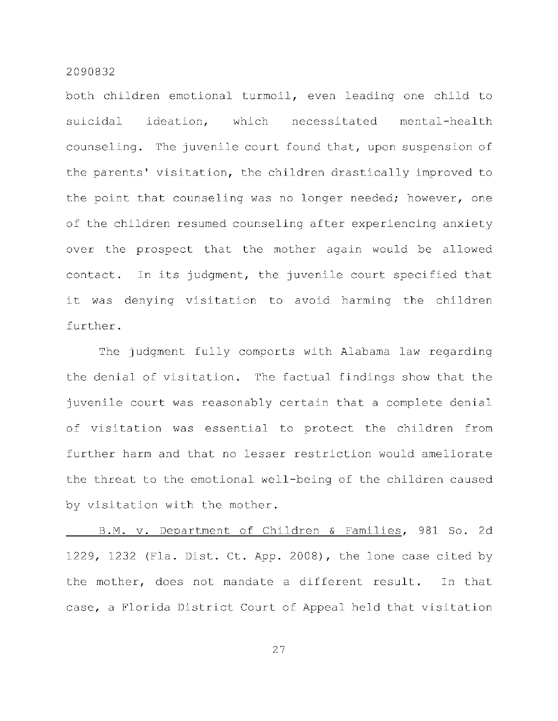both children emotional turmoil, even leading one child to suicidal ideation, which necessitated mental-health counseling. The juvenile court found that, upon suspension of the parents' visitation, the children drastically improved to the point that counseling was no longer needed; however, one of the children resumed counseling after experiencing anxiety over the prospect that the mother again would be allowed contact. In its judgment, the juvenile court specified that it was denying visitation to avoid harming the children further .

The judgment fully comports with Alabama law regarding the denial of visitation. The factual findings show that the juvenile court was reasonably certain that a complete denial of visitation was essential to protect the children from further harm and that no lesser restriction would ameliorate the threat to the emotional well-being of the children caused by visitation with the mother.

B.M. v. Department of Children & Families, 981 So. 2d 1229, 1232 (Fla. Dist. Ct. App. 2008), the lone case cited by the mother, does not mandate a different result. In that case, a Florida District Court of Appeal held that visitation